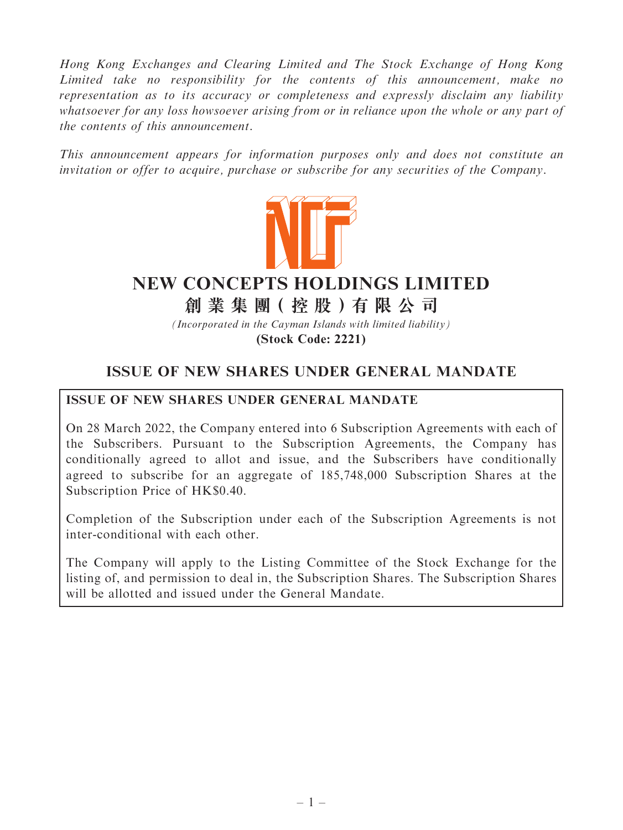Hong Kong Exchanges and Clearing Limited and The Stock Exchange of Hong Kong Limited take no responsibility for the contents of this announcement, make no representation as to its accuracy or completeness and expressly disclaim any liability whatsoever for any loss howsoever arising from or in reliance upon the whole or any part of the contents of this announcement.

This announcement appears for information purposes only and does not constitute an invitation or offer to acquire, purchase or subscribe for any securities of the Company.



# **NEW CONCEPTS HOLDINGS LIMITED**

**創 業 集 團( 控 股 )有 限 公 司**

*(Incorporated in the Cayman Islands with limited liability)*

**(Stock Code: 2221)**

## ISSUE OF NEW SHARES UNDER GENERAL MANDATE

## ISSUE OF NEW SHARES UNDER GENERAL MANDATE

On 28 March 2022, the Company entered into 6 Subscription Agreements with each of the Subscribers. Pursuant to the Subscription Agreements, the Company has conditionally agreed to allot and issue, and the Subscribers have conditionally agreed to subscribe for an aggregate of 185,748,000 Subscription Shares at the Subscription Price of HK\$0.40.

Completion of the Subscription under each of the Subscription Agreements is not inter-conditional with each other.

The Company will apply to the Listing Committee of the Stock Exchange for the listing of, and permission to deal in, the Subscription Shares. The Subscription Shares will be allotted and issued under the General Mandate.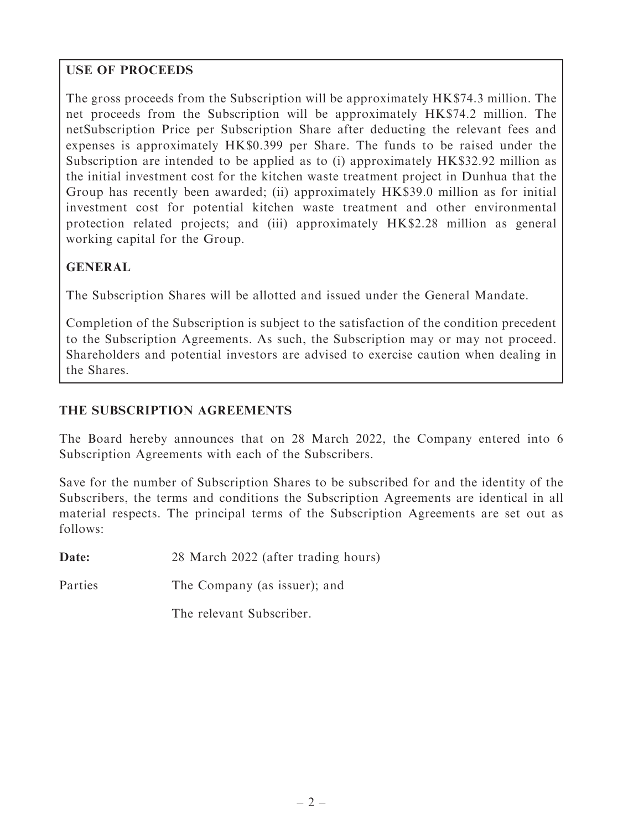## USE OF PROCEEDS

The gross proceeds from the Subscription will be approximately HK\$74.3 million. The net proceeds from the Subscription will be approximately HK\$74.2 million. The netSubscription Price per Subscription Share after deducting the relevant fees and expenses is approximately HK\$0.399 per Share. The funds to be raised under the Subscription are intended to be applied as to (i) approximately HK\$32.92 million as the initial investment cost for the kitchen waste treatment project in Dunhua that the Group has recently been awarded; (ii) approximately HK\$39.0 million as for initial investment cost for potential kitchen waste treatment and other environmental protection related projects; and (iii) approximately HK\$2.28 million as general working capital for the Group.

## GENERAL

The Subscription Shares will be allotted and issued under the General Mandate.

Completion of the Subscription is subject to the satisfaction of the condition precedent to the Subscription Agreements. As such, the Subscription may or may not proceed. Shareholders and potential investors are advised to exercise caution when dealing in the Shares.

## THE SUBSCRIPTION AGREEMENTS

The Board hereby announces that on 28 March 2022, the Company entered into 6 Subscription Agreements with each of the Subscribers.

Save for the number of Subscription Shares to be subscribed for and the identity of the Subscribers, the terms and conditions the Subscription Agreements are identical in all material respects. The principal terms of the Subscription Agreements are set out as follows:

Date: 28 March 2022 (after trading hours)

Parties The Company (as issuer); and

The relevant Subscriber.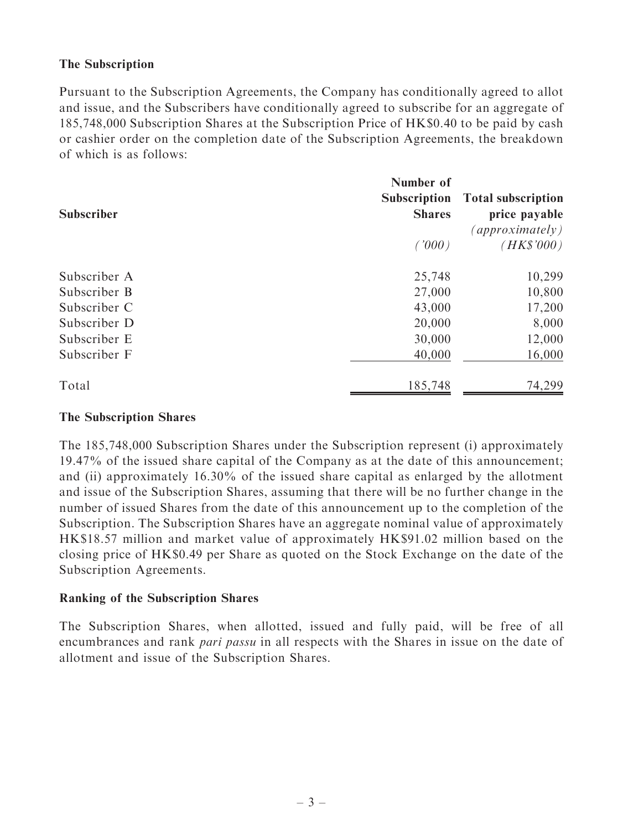#### The Subscription

Pursuant to the Subscription Agreements, the Company has conditionally agreed to allot and issue, and the Subscribers have conditionally agreed to subscribe for an aggregate of 185,748,000 Subscription Shares at the Subscription Price of HK\$0.40 to be paid by cash or cashier order on the completion date of the Subscription Agreements, the breakdown of which is as follows:

| <b>Subscriber</b> | Number of<br><b>Subscription</b><br><b>Shares</b><br>(1000) | <b>Total subscription</b><br>price payable<br>$\langle$ approximately)<br>$(HK\$'000)$ |
|-------------------|-------------------------------------------------------------|----------------------------------------------------------------------------------------|
| Subscriber A      | 25,748                                                      | 10,299                                                                                 |
| Subscriber B      | 27,000                                                      | 10,800                                                                                 |
| Subscriber C      | 43,000                                                      | 17,200                                                                                 |
| Subscriber D      | 20,000                                                      | 8,000                                                                                  |
| Subscriber E      | 30,000                                                      | 12,000                                                                                 |
| Subscriber F      | 40,000                                                      | 16,000                                                                                 |
| Total             | 185,748                                                     | 74,299                                                                                 |

#### The Subscription Shares

The 185,748,000 Subscription Shares under the Subscription represent (i) approximately 19.47% of the issued share capital of the Company as at the date of this announcement; and (ii) approximately 16.30% of the issued share capital as enlarged by the allotment and issue of the Subscription Shares, assuming that there will be no further change in the number of issued Shares from the date of this announcement up to the completion of the Subscription. The Subscription Shares have an aggregate nominal value of approximately HK\$18.57 million and market value of approximately HK\$91.02 million based on the closing price of HK\$0.49 per Share as quoted on the Stock Exchange on the date of the Subscription Agreements.

#### Ranking of the Subscription Shares

The Subscription Shares, when allotted, issued and fully paid, will be free of all encumbrances and rank *pari passu* in all respects with the Shares in issue on the date of allotment and issue of the Subscription Shares.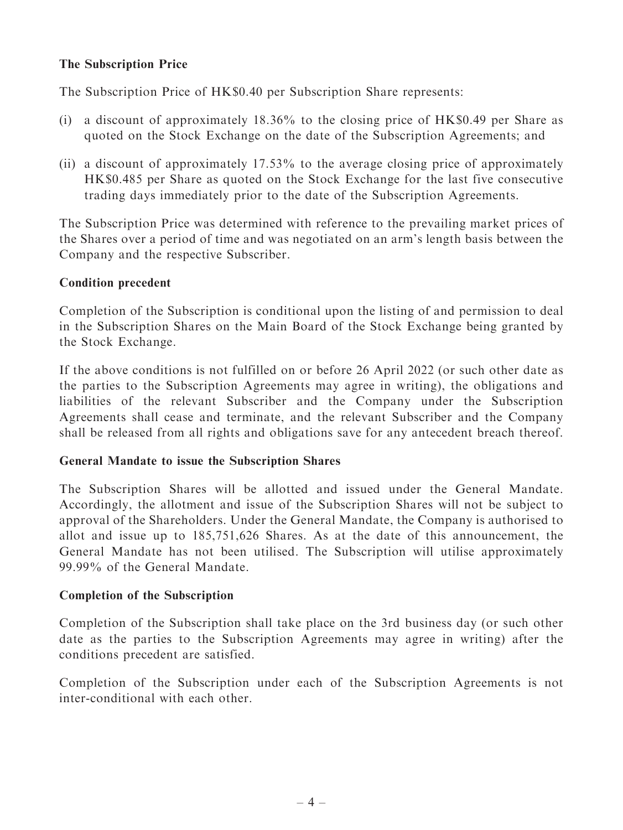#### The Subscription Price

The Subscription Price of HK\$0.40 per Subscription Share represents:

- (i) a discount of approximately 18.36% to the closing price of HK\$0.49 per Share as quoted on the Stock Exchange on the date of the Subscription Agreements; and
- (ii) a discount of approximately 17.53% to the average closing price of approximately HK\$0.485 per Share as quoted on the Stock Exchange for the last five consecutive trading days immediately prior to the date of the Subscription Agreements.

The Subscription Price was determined with reference to the prevailing market prices of the Shares over a period of time and was negotiated on an arm's length basis between the Company and the respective Subscriber.

#### Condition precedent

Completion of the Subscription is conditional upon the listing of and permission to deal in the Subscription Shares on the Main Board of the Stock Exchange being granted by the Stock Exchange.

If the above conditions is not fulfilled on or before 26 April 2022 (or such other date as the parties to the Subscription Agreements may agree in writing), the obligations and liabilities of the relevant Subscriber and the Company under the Subscription Agreements shall cease and terminate, and the relevant Subscriber and the Company shall be released from all rights and obligations save for any antecedent breach thereof.

#### General Mandate to issue the Subscription Shares

The Subscription Shares will be allotted and issued under the General Mandate. Accordingly, the allotment and issue of the Subscription Shares will not be subject to approval of the Shareholders. Under the General Mandate, the Company is authorised to allot and issue up to 185,751,626 Shares. As at the date of this announcement, the General Mandate has not been utilised. The Subscription will utilise approximately 99.99% of the General Mandate.

#### Completion of the Subscription

Completion of the Subscription shall take place on the 3rd business day (or such other date as the parties to the Subscription Agreements may agree in writing) after the conditions precedent are satisfied.

Completion of the Subscription under each of the Subscription Agreements is not inter-conditional with each other.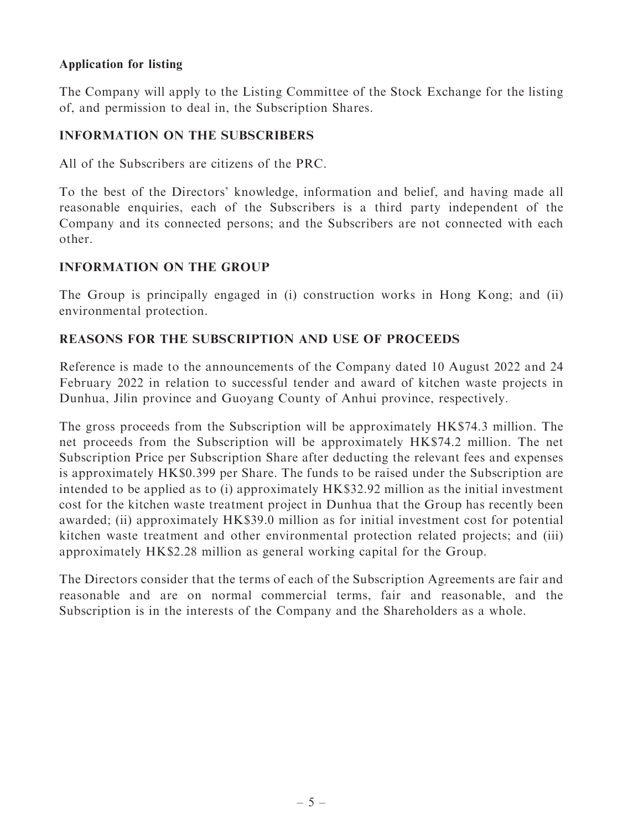#### Application for listing

The Company will apply to the Listing Committee of the Stock Exchange for the listing of, and permission to deal in, the Subscription Shares.

#### INFORMATION ON THE SUBSCRIBERS

All of the Subscribers are citizens of the PRC.

To the best of the Directors' knowledge, information and belief, and having made all reasonable enquiries, each of the Subscribers is a third party independent of the Company and its connected persons; and the Subscribers are not connected with each other.

#### INFORMATION ON THE GROUP

The Group is principally engaged in (i) construction works in Hong Kong; and (ii) environmental protection.

## REASONS FOR THE SUBSCRIPTION AND USE OF PROCEEDS

Reference is made to the announcements of the Company dated 10 August 2022 and 24 February 2022 in relation to successful tender and award of kitchen waste projects in Dunhua, Jilin province and Guoyang County of Anhui province, respectively.

The gross proceeds from the Subscription will be approximately HK\$74.3 million. The net proceeds from the Subscription will be approximately HK\$74.2 million. The net Subscription Price per Subscription Share after deducting the relevant fees and expenses is approximately HK\$0.399 per Share. The funds to be raised under the Subscription are intended to be applied as to (i) approximately HK\$32.92 million as the initial investment cost for the kitchen waste treatment project in Dunhua that the Group has recently been awarded; (ii) approximately HK\$39.0 million as for initial investment cost for potential kitchen waste treatment and other environmental protection related projects; and (iii) approximately HK\$2.28 million as general working capital for the Group.

The Directors consider that the terms of each of the Subscription Agreements are fair and reasonable and are on normal commercial terms, fair and reasonable, and the Subscription is in the interests of the Company and the Shareholders as a whole.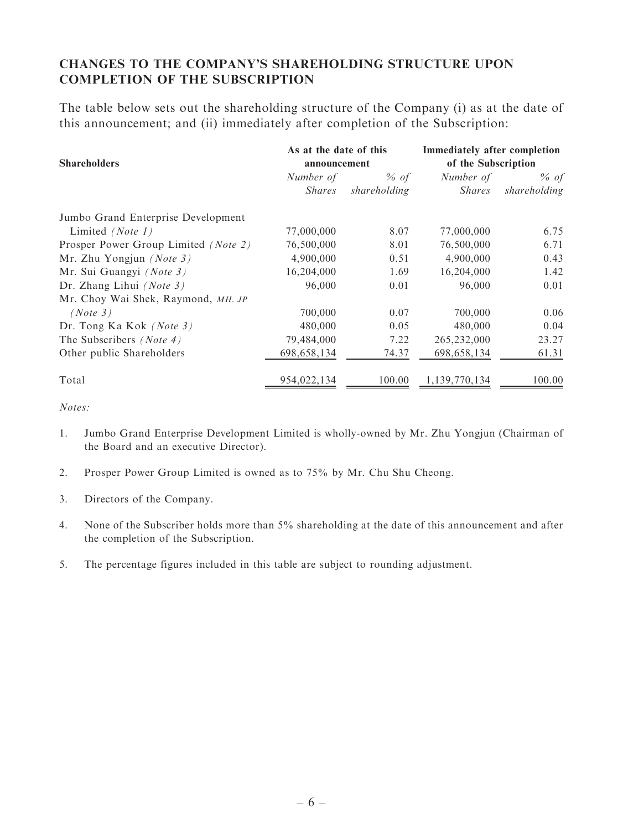## CHANGES TO THE COMPANY'S SHAREHOLDING STRUCTURE UPON COMPLETION OF THE SUBSCRIPTION

The table below sets out the shareholding structure of the Company (i) as at the date of this announcement; and (ii) immediately after completion of the Subscription:

|                                      | As at the date of this |              | <b>Immediately after completion</b> |              |
|--------------------------------------|------------------------|--------------|-------------------------------------|--------------|
| <b>Shareholders</b>                  | announcement           |              | of the Subscription                 |              |
|                                      | Number of              | $%$ of       | Number of                           | $%$ of       |
|                                      | <i>Shares</i>          | shareholding | <i>Shares</i>                       | shareholding |
| Jumbo Grand Enterprise Development   |                        |              |                                     |              |
| Limited (Note 1)                     | 77,000,000             | 8.07         | 77,000,000                          | 6.75         |
| Prosper Power Group Limited (Note 2) | 76,500,000             | 8.01         | 76,500,000                          | 6.71         |
| Mr. Zhu Yongjun $(Note 3)$           | 4,900,000              | 0.51         | 4,900,000                           | 0.43         |
| Mr. Sui Guangyi (Note 3)             | 16,204,000             | 1.69         | 16,204,000                          | 1.42         |
| Dr. Zhang Lihui $(Note 3)$           | 96,000                 | 0.01         | 96,000                              | 0.01         |
| Mr. Choy Wai Shek, Raymond, MH. JP   |                        |              |                                     |              |
| (Note 3)                             | 700,000                | 0.07         | 700,000                             | 0.06         |
| Dr. Tong Ka Kok <i>(Note 3)</i>      | 480,000                | 0.05         | 480,000                             | 0.04         |
| The Subscribers (Note 4)             | 79,484,000             | 7.22         | 265,232,000                         | 23.27        |
| Other public Shareholders            | 698,658,134            | 74.37        | 698, 658, 134                       | 61.31        |
| Total                                | 954,022,134            | 100.00       | 1,139,770,134                       | 100.00       |

Notes:

- 1. Jumbo Grand Enterprise Development Limited is wholly-owned by Mr. Zhu Yongjun (Chairman of the Board and an executive Director).
- 2. Prosper Power Group Limited is owned as to 75% by Mr. Chu Shu Cheong.
- 3. Directors of the Company.
- 4. None of the Subscriber holds more than 5% shareholding at the date of this announcement and after the completion of the Subscription.
- 5. The percentage figures included in this table are subject to rounding adjustment.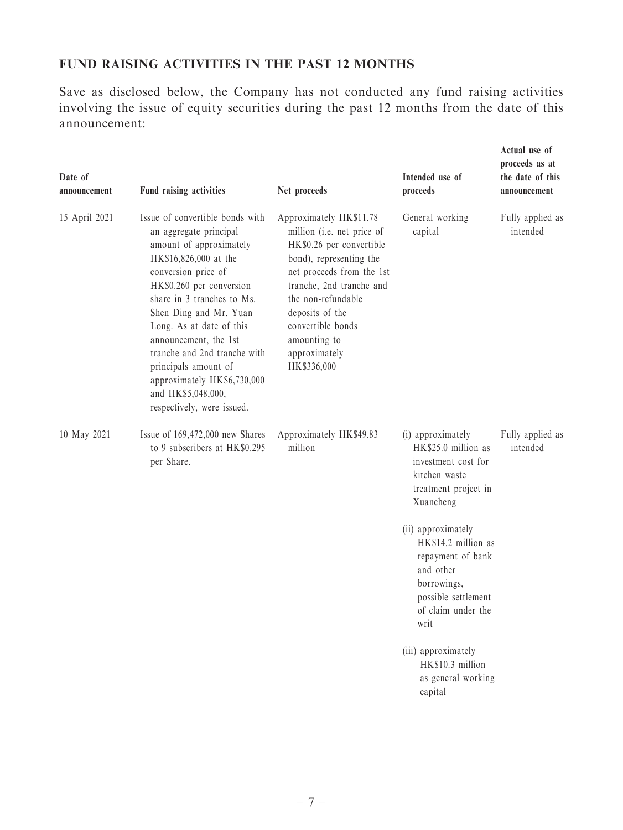## FUND RAISING ACTIVITIES IN THE PAST 12 MONTHS

Save as disclosed below, the Company has not conducted any fund raising activities involving the issue of equity securities during the past 12 months from the date of this announcement:

| Date of<br>announcement | Fund raising activities                                                                                                                                                                                                                                                                                                                                                                                                  | Net proceeds                                                                                                                                                                                                                                                                        | Intended use of<br>proceeds                                                                                                                                                                                                                                              | Actual use of<br>proceeds as at<br>the date of this<br>announcement |
|-------------------------|--------------------------------------------------------------------------------------------------------------------------------------------------------------------------------------------------------------------------------------------------------------------------------------------------------------------------------------------------------------------------------------------------------------------------|-------------------------------------------------------------------------------------------------------------------------------------------------------------------------------------------------------------------------------------------------------------------------------------|--------------------------------------------------------------------------------------------------------------------------------------------------------------------------------------------------------------------------------------------------------------------------|---------------------------------------------------------------------|
| 15 April 2021           | Issue of convertible bonds with<br>an aggregate principal<br>amount of approximately<br>HK\$16,826,000 at the<br>conversion price of<br>HK\$0.260 per conversion<br>share in 3 tranches to Ms.<br>Shen Ding and Mr. Yuan<br>Long. As at date of this<br>announcement, the 1st<br>tranche and 2nd tranche with<br>principals amount of<br>approximately HK\$6,730,000<br>and HK\$5,048,000,<br>respectively, were issued. | Approximately HK\$11.78<br>million (i.e. net price of<br>HK\$0.26 per convertible<br>bond), representing the<br>net proceeds from the 1st<br>tranche, 2nd tranche and<br>the non-refundable<br>deposits of the<br>convertible bonds<br>amounting to<br>approximately<br>HK\$336,000 | General working<br>capital                                                                                                                                                                                                                                               | Fully applied as<br>intended                                        |
| 10 May 2021             | Issue of 169,472,000 new Shares<br>to 9 subscribers at HK\$0.295<br>per Share.                                                                                                                                                                                                                                                                                                                                           | Approximately HK\$49.83<br>million                                                                                                                                                                                                                                                  | (i) approximately<br>HK\$25.0 million as<br>investment cost for<br>kitchen waste<br>treatment project in<br>Xuancheng<br>(ii) approximately<br>HK\$14.2 million as<br>repayment of bank<br>and other<br>borrowings,<br>possible settlement<br>of claim under the<br>writ | Fully applied as<br>intended                                        |
|                         |                                                                                                                                                                                                                                                                                                                                                                                                                          |                                                                                                                                                                                                                                                                                     | (iii) approximately<br>HK\$10.3 million<br>as general working<br>capital                                                                                                                                                                                                 |                                                                     |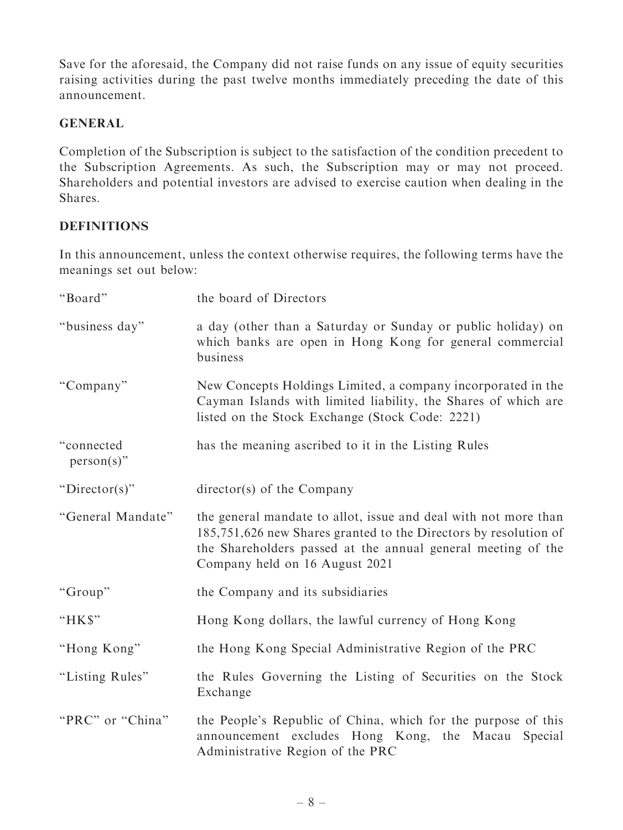Save for the aforesaid, the Company did not raise funds on any issue of equity securities raising activities during the past twelve months immediately preceding the date of this announcement.

## GENERAL

Completion of the Subscription is subject to the satisfaction of the condition precedent to the Subscription Agreements. As such, the Subscription may or may not proceed. Shareholders and potential investors are advised to exercise caution when dealing in the Shares.

## **DEFINITIONS**

In this announcement, unless the context otherwise requires, the following terms have the meanings set out below:

| "Board"                     | the board of Directors                                                                                                                                                                                                                |
|-----------------------------|---------------------------------------------------------------------------------------------------------------------------------------------------------------------------------------------------------------------------------------|
| "business day"              | a day (other than a Saturday or Sunday or public holiday) on<br>which banks are open in Hong Kong for general commercial<br>business                                                                                                  |
| "Company"                   | New Concepts Holdings Limited, a company incorporated in the<br>Cayman Islands with limited liability, the Shares of which are<br>listed on the Stock Exchange (Stock Code: 2221)                                                     |
| "connected<br>$person(s)$ " | has the meaning ascribed to it in the Listing Rules                                                                                                                                                                                   |
| "Director(s)"               | $\text{directory}(s)$ of the Company                                                                                                                                                                                                  |
| "General Mandate"           | the general mandate to allot, issue and deal with not more than<br>185,751,626 new Shares granted to the Directors by resolution of<br>the Shareholders passed at the annual general meeting of the<br>Company held on 16 August 2021 |
| "Group"                     | the Company and its subsidiaries                                                                                                                                                                                                      |
| "HK\$"                      | Hong Kong dollars, the lawful currency of Hong Kong                                                                                                                                                                                   |
| "Hong Kong"                 | the Hong Kong Special Administrative Region of the PRC                                                                                                                                                                                |
| "Listing Rules"             | the Rules Governing the Listing of Securities on the Stock<br>Exchange                                                                                                                                                                |
| "PRC" or "China"            | the People's Republic of China, which for the purpose of this<br>announcement excludes Hong Kong, the Macau Special<br>Administrative Region of the PRC                                                                               |